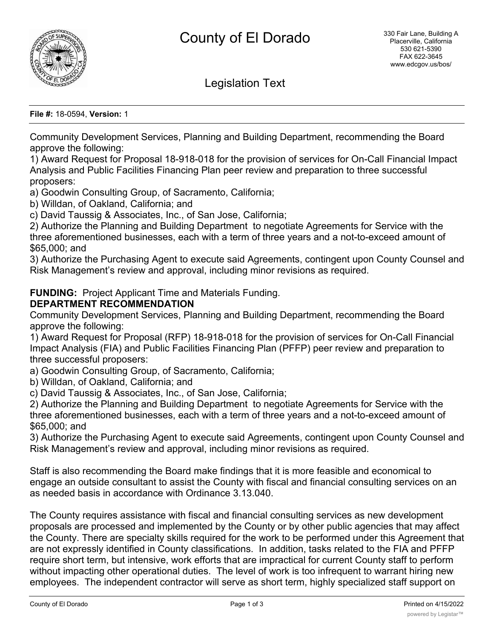

Legislation Text

**File #:** 18-0594, **Version:** 1

Community Development Services, Planning and Building Department, recommending the Board approve the following:

1) Award Request for Proposal 18-918-018 for the provision of services for On-Call Financial Impact Analysis and Public Facilities Financing Plan peer review and preparation to three successful proposers:

a) Goodwin Consulting Group, of Sacramento, California;

b) Willdan, of Oakland, California; and

c) David Taussig & Associates, Inc., of San Jose, California;

2) Authorize the Planning and Building Department to negotiate Agreements for Service with the three aforementioned businesses, each with a term of three years and a not-to-exceed amount of \$65,000; and

3) Authorize the Purchasing Agent to execute said Agreements, contingent upon County Counsel and Risk Management's review and approval, including minor revisions as required.

**FUNDING:** Project Applicant Time and Materials Funding.

## **DEPARTMENT RECOMMENDATION**

Community Development Services, Planning and Building Department, recommending the Board approve the following:

1) Award Request for Proposal (RFP) 18-918-018 for the provision of services for On-Call Financial Impact Analysis (FIA) and Public Facilities Financing Plan (PFFP) peer review and preparation to three successful proposers:

a) Goodwin Consulting Group, of Sacramento, California;

b) Willdan, of Oakland, California; and

c) David Taussig & Associates, Inc., of San Jose, California;

2) Authorize the Planning and Building Department to negotiate Agreements for Service with the three aforementioned businesses, each with a term of three years and a not-to-exceed amount of \$65,000; and

3) Authorize the Purchasing Agent to execute said Agreements, contingent upon County Counsel and Risk Management's review and approval, including minor revisions as required.

Staff is also recommending the Board make findings that it is more feasible and economical to engage an outside consultant to assist the County with fiscal and financial consulting services on an as needed basis in accordance with Ordinance 3.13.040.

The County requires assistance with fiscal and financial consulting services as new development proposals are processed and implemented by the County or by other public agencies that may affect the County. There are specialty skills required for the work to be performed under this Agreement that are not expressly identified in County classifications. In addition, tasks related to the FIA and PFFP require short term, but intensive, work efforts that are impractical for current County staff to perform without impacting other operational duties. The level of work is too infrequent to warrant hiring new employees. The independent contractor will serve as short term, highly specialized staff support on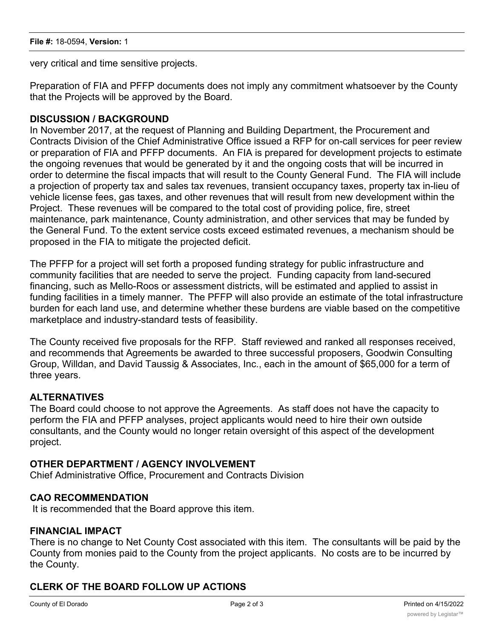very critical and time sensitive projects.

Preparation of FIA and PFFP documents does not imply any commitment whatsoever by the County that the Projects will be approved by the Board.

## **DISCUSSION / BACKGROUND**

In November 2017, at the request of Planning and Building Department, the Procurement and Contracts Division of the Chief Administrative Office issued a RFP for on-call services for peer review or preparation of FIA and PFFP documents. An FIA is prepared for development projects to estimate the ongoing revenues that would be generated by it and the ongoing costs that will be incurred in order to determine the fiscal impacts that will result to the County General Fund. The FIA will include a projection of property tax and sales tax revenues, transient occupancy taxes, property tax in-lieu of vehicle license fees, gas taxes, and other revenues that will result from new development within the Project. These revenues will be compared to the total cost of providing police, fire, street maintenance, park maintenance, County administration, and other services that may be funded by the General Fund. To the extent service costs exceed estimated revenues, a mechanism should be proposed in the FIA to mitigate the projected deficit.

The PFFP for a project will set forth a proposed funding strategy for public infrastructure and community facilities that are needed to serve the project. Funding capacity from land-secured financing, such as Mello-Roos or assessment districts, will be estimated and applied to assist in funding facilities in a timely manner. The PFFP will also provide an estimate of the total infrastructure burden for each land use, and determine whether these burdens are viable based on the competitive marketplace and industry-standard tests of feasibility.

The County received five proposals for the RFP. Staff reviewed and ranked all responses received, and recommends that Agreements be awarded to three successful proposers, Goodwin Consulting Group, Willdan, and David Taussig & Associates, Inc., each in the amount of \$65,000 for a term of three years.

# **ALTERNATIVES**

The Board could choose to not approve the Agreements. As staff does not have the capacity to perform the FIA and PFFP analyses, project applicants would need to hire their own outside consultants, and the County would no longer retain oversight of this aspect of the development project.

#### **OTHER DEPARTMENT / AGENCY INVOLVEMENT**

Chief Administrative Office, Procurement and Contracts Division

#### **CAO RECOMMENDATION**

It is recommended that the Board approve this item.

#### **FINANCIAL IMPACT**

There is no change to Net County Cost associated with this item. The consultants will be paid by the County from monies paid to the County from the project applicants. No costs are to be incurred by the County.

# **CLERK OF THE BOARD FOLLOW UP ACTIONS**